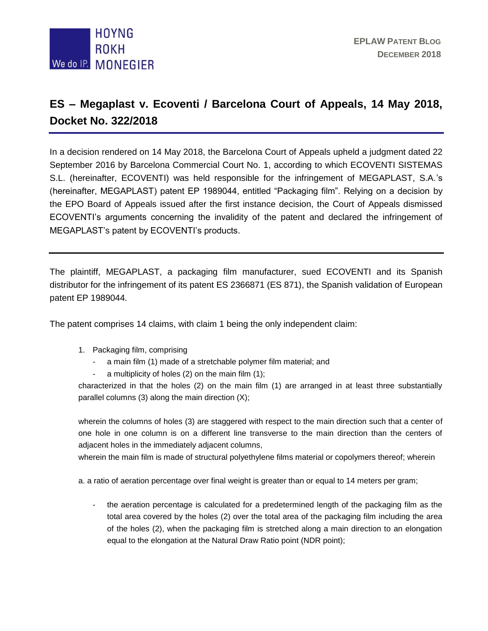

## **ES – Megaplast v. Ecoventi / Barcelona Court of Appeals, 14 May 2018, Docket No. 322/2018**

In a decision rendered on 14 May 2018, the Barcelona Court of Appeals upheld a judgment dated 22 September 2016 by Barcelona Commercial Court No. 1, according to which ECOVENTI SISTEMAS S.L. (hereinafter, ECOVENTI) was held responsible for the infringement of MEGAPLAST, S.A.'s (hereinafter, MEGAPLAST) patent EP 1989044, entitled "Packaging film". Relying on a decision by the EPO Board of Appeals issued after the first instance decision, the Court of Appeals dismissed ECOVENTI's arguments concerning the invalidity of the patent and declared the infringement of MEGAPLAST's patent by ECOVENTI's products.

The plaintiff, MEGAPLAST, a packaging film manufacturer, sued ECOVENTI and its Spanish distributor for the infringement of its patent ES 2366871 (ES 871), the Spanish validation of European patent EP 1989044.

The patent comprises 14 claims, with claim 1 being the only independent claim:

- 1. Packaging film, comprising
	- a main film (1) made of a stretchable polymer film material; and
	- a multiplicity of holes (2) on the main film (1);

characterized in that the holes (2) on the main film (1) are arranged in at least three substantially parallel columns (3) along the main direction (X);

wherein the columns of holes (3) are staggered with respect to the main direction such that a center of one hole in one column is on a different line transverse to the main direction than the centers of adjacent holes in the immediately adjacent columns,

wherein the main film is made of structural polyethylene films material or copolymers thereof; wherein

a. a ratio of aeration percentage over final weight is greater than or equal to 14 meters per gram;

- the aeration percentage is calculated for a predetermined length of the packaging film as the total area covered by the holes (2) over the total area of the packaging film including the area of the holes (2), when the packaging film is stretched along a main direction to an elongation equal to the elongation at the Natural Draw Ratio point (NDR point);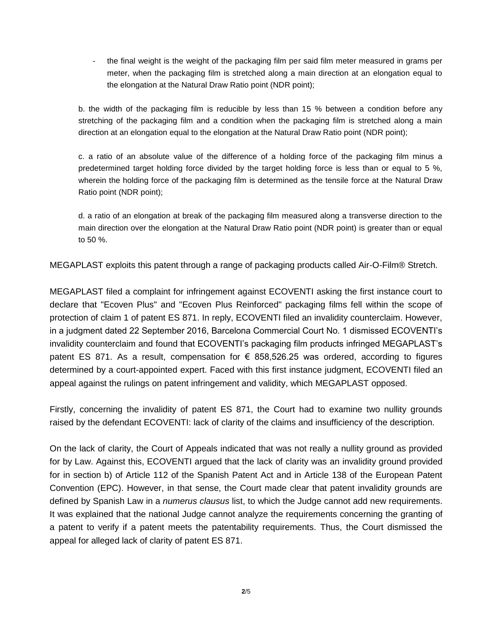- the final weight is the weight of the packaging film per said film meter measured in grams per meter, when the packaging film is stretched along a main direction at an elongation equal to the elongation at the Natural Draw Ratio point (NDR point);

b. the width of the packaging film is reducible by less than 15 % between a condition before any stretching of the packaging film and a condition when the packaging film is stretched along a main direction at an elongation equal to the elongation at the Natural Draw Ratio point (NDR point);

c. a ratio of an absolute value of the difference of a holding force of the packaging film minus a predetermined target holding force divided by the target holding force is less than or equal to 5 %, wherein the holding force of the packaging film is determined as the tensile force at the Natural Draw Ratio point (NDR point);

d. a ratio of an elongation at break of the packaging film measured along a transverse direction to the main direction over the elongation at the Natural Draw Ratio point (NDR point) is greater than or equal to 50 %.

MEGAPLAST exploits this patent through a range of packaging products called Air-O-Film® Stretch.

MEGAPLAST filed a complaint for infringement against ECOVENTI asking the first instance court to declare that "Ecoven Plus" and "Ecoven Plus Reinforced" packaging films fell within the scope of protection of claim 1 of patent ES 871. In reply, ECOVENTI filed an invalidity counterclaim. However, in a judgment dated 22 September 2016, Barcelona Commercial Court No. 1 dismissed ECOVENTI's invalidity counterclaim and found that ECOVENTI's packaging film products infringed MEGAPLAST's patent ES 871. As a result, compensation for  $\epsilon$  858,526.25 was ordered, according to figures determined by a court-appointed expert. Faced with this first instance judgment, ECOVENTI filed an appeal against the rulings on patent infringement and validity, which MEGAPLAST opposed.

Firstly, concerning the invalidity of patent ES 871, the Court had to examine two nullity grounds raised by the defendant ECOVENTI: lack of clarity of the claims and insufficiency of the description.

On the lack of clarity, the Court of Appeals indicated that was not really a nullity ground as provided for by Law. Against this, ECOVENTI argued that the lack of clarity was an invalidity ground provided for in section b) of Article 112 of the Spanish Patent Act and in Article 138 of the European Patent Convention (EPC). However, in that sense, the Court made clear that patent invalidity grounds are defined by Spanish Law in a *numerus clausus* list, to which the Judge cannot add new requirements. It was explained that the national Judge cannot analyze the requirements concerning the granting of a patent to verify if a patent meets the patentability requirements. Thus, the Court dismissed the appeal for alleged lack of clarity of patent ES 871.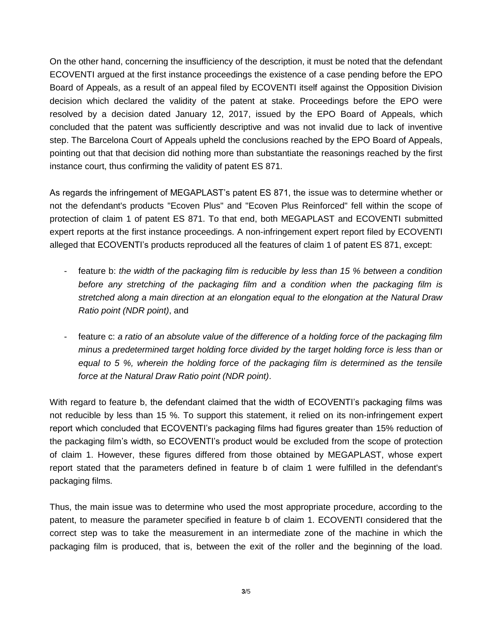On the other hand, concerning the insufficiency of the description, it must be noted that the defendant ECOVENTI argued at the first instance proceedings the existence of a case pending before the EPO Board of Appeals, as a result of an appeal filed by ECOVENTI itself against the Opposition Division decision which declared the validity of the patent at stake. Proceedings before the EPO were resolved by a decision dated January 12, 2017, issued by the EPO Board of Appeals, which concluded that the patent was sufficiently descriptive and was not invalid due to lack of inventive step. The Barcelona Court of Appeals upheld the conclusions reached by the EPO Board of Appeals, pointing out that that decision did nothing more than substantiate the reasonings reached by the first instance court, thus confirming the validity of patent ES 871.

As regards the infringement of MEGAPLAST's patent ES 871, the issue was to determine whether or not the defendant's products "Ecoven Plus" and "Ecoven Plus Reinforced" fell within the scope of protection of claim 1 of patent ES 871. To that end, both MEGAPLAST and ECOVENTI submitted expert reports at the first instance proceedings. A non-infringement expert report filed by ECOVENTI alleged that ECOVENTI's products reproduced all the features of claim 1 of patent ES 871, except:

- feature b: *the width of the packaging film is reducible by less than 15 % between a condition before any stretching of the packaging film and a condition when the packaging film is stretched along a main direction at an elongation equal to the elongation at the Natural Draw Ratio point (NDR point)*, and
- feature c: *a ratio of an absolute value of the difference of a holding force of the packaging film minus a predetermined target holding force divided by the target holding force is less than or equal to 5 %, wherein the holding force of the packaging film is determined as the tensile force at the Natural Draw Ratio point (NDR point)*.

With regard to feature b, the defendant claimed that the width of ECOVENTI's packaging films was not reducible by less than 15 %. To support this statement, it relied on its non-infringement expert report which concluded that ECOVENTI's packaging films had figures greater than 15% reduction of the packaging film's width, so ECOVENTI's product would be excluded from the scope of protection of claim 1. However, these figures differed from those obtained by MEGAPLAST, whose expert report stated that the parameters defined in feature b of claim 1 were fulfilled in the defendant's packaging films.

Thus, the main issue was to determine who used the most appropriate procedure, according to the patent, to measure the parameter specified in feature b of claim 1. ECOVENTI considered that the correct step was to take the measurement in an intermediate zone of the machine in which the packaging film is produced, that is, between the exit of the roller and the beginning of the load.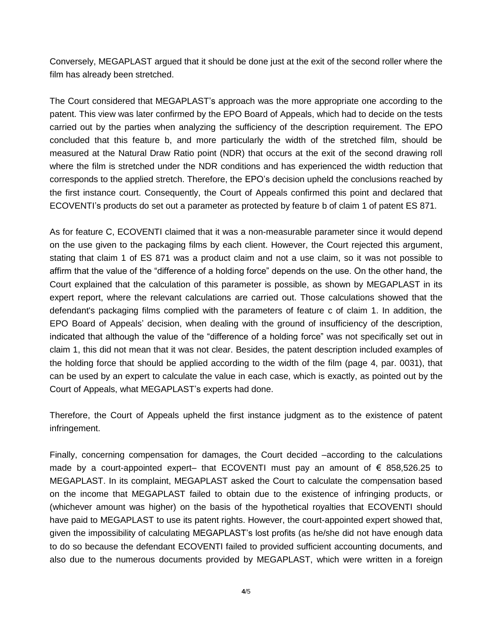Conversely, MEGAPLAST argued that it should be done just at the exit of the second roller where the film has already been stretched.

The Court considered that MEGAPLAST's approach was the more appropriate one according to the patent. This view was later confirmed by the EPO Board of Appeals, which had to decide on the tests carried out by the parties when analyzing the sufficiency of the description requirement. The EPO concluded that this feature b, and more particularly the width of the stretched film, should be measured at the Natural Draw Ratio point (NDR) that occurs at the exit of the second drawing roll where the film is stretched under the NDR conditions and has experienced the width reduction that corresponds to the applied stretch. Therefore, the EPO's decision upheld the conclusions reached by the first instance court. Consequently, the Court of Appeals confirmed this point and declared that ECOVENTI's products do set out a parameter as protected by feature b of claim 1 of patent ES 871.

As for feature C, ECOVENTI claimed that it was a non-measurable parameter since it would depend on the use given to the packaging films by each client. However, the Court rejected this argument, stating that claim 1 of ES 871 was a product claim and not a use claim, so it was not possible to affirm that the value of the "difference of a holding force" depends on the use. On the other hand, the Court explained that the calculation of this parameter is possible, as shown by MEGAPLAST in its expert report, where the relevant calculations are carried out. Those calculations showed that the defendant's packaging films complied with the parameters of feature c of claim 1. In addition, the EPO Board of Appeals' decision, when dealing with the ground of insufficiency of the description, indicated that although the value of the "difference of a holding force" was not specifically set out in claim 1, this did not mean that it was not clear. Besides, the patent description included examples of the holding force that should be applied according to the width of the film (page 4, par. 0031), that can be used by an expert to calculate the value in each case, which is exactly, as pointed out by the Court of Appeals, what MEGAPLAST's experts had done.

Therefore, the Court of Appeals upheld the first instance judgment as to the existence of patent infringement.

Finally, concerning compensation for damages, the Court decided –according to the calculations made by a court-appointed expert– that ECOVENTI must pay an amount of  $\epsilon$  858,526.25 to MEGAPLAST. In its complaint, MEGAPLAST asked the Court to calculate the compensation based on the income that MEGAPLAST failed to obtain due to the existence of infringing products, or (whichever amount was higher) on the basis of the hypothetical royalties that ECOVENTI should have paid to MEGAPLAST to use its patent rights. However, the court-appointed expert showed that, given the impossibility of calculating MEGAPLAST's lost profits (as he/she did not have enough data to do so because the defendant ECOVENTI failed to provided sufficient accounting documents, and also due to the numerous documents provided by MEGAPLAST, which were written in a foreign